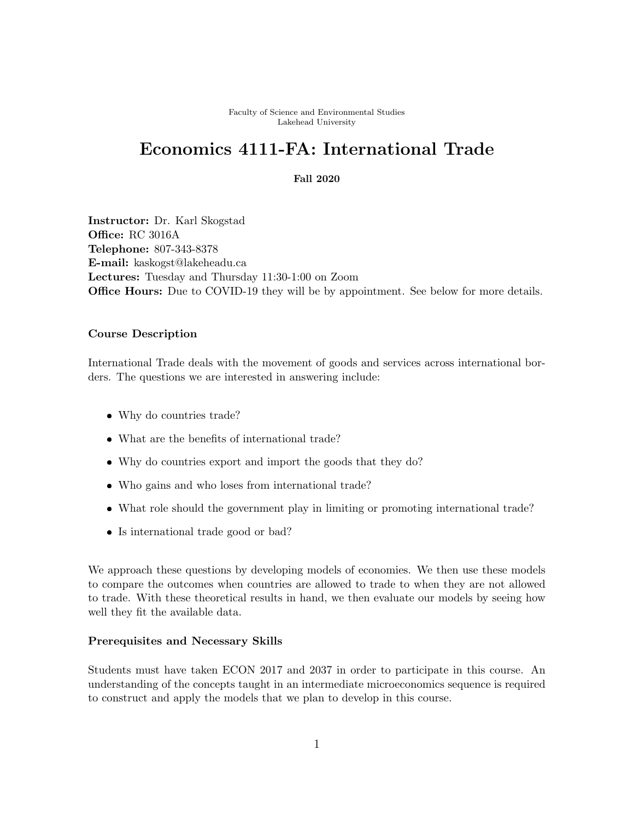Faculty of Science and Environmental Studies Lakehead University

## Economics 4111-FA: International Trade

## Fall 2020

Instructor: Dr. Karl Skogstad Office: RC 3016A Telephone: 807-343-8378 E-mail: kaskogst@lakeheadu.ca Lectures: Tuesday and Thursday 11:30-1:00 on Zoom **Office Hours:** Due to COVID-19 they will be by appointment. See below for more details.

## Course Description

International Trade deals with the movement of goods and services across international borders. The questions we are interested in answering include:

- Why do countries trade?
- What are the benefits of international trade?
- Why do countries export and import the goods that they do?
- Who gains and who loses from international trade?
- What role should the government play in limiting or promoting international trade?
- Is international trade good or bad?

We approach these questions by developing models of economies. We then use these models to compare the outcomes when countries are allowed to trade to when they are not allowed to trade. With these theoretical results in hand, we then evaluate our models by seeing how well they fit the available data.

## Prerequisites and Necessary Skills

Students must have taken ECON 2017 and 2037 in order to participate in this course. An understanding of the concepts taught in an intermediate microeconomics sequence is required to construct and apply the models that we plan to develop in this course.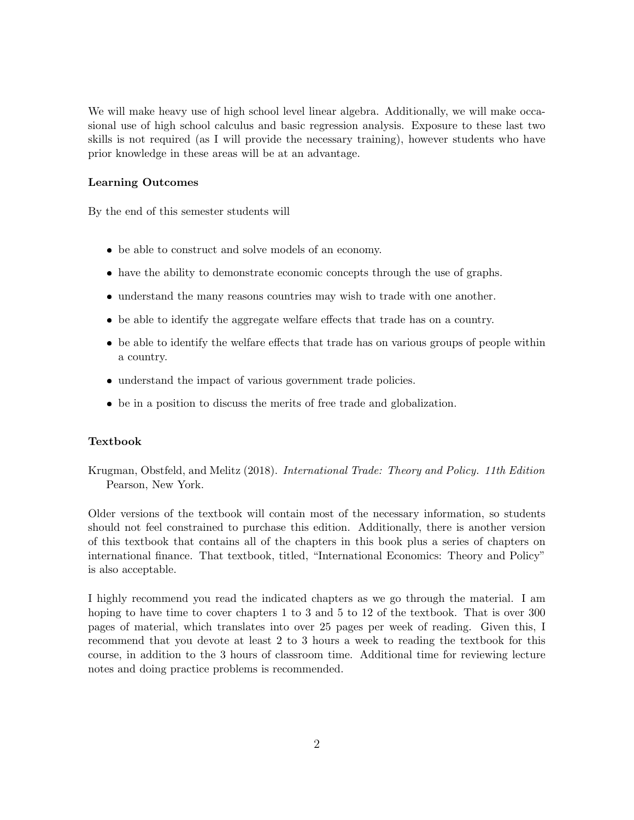We will make heavy use of high school level linear algebra. Additionally, we will make occasional use of high school calculus and basic regression analysis. Exposure to these last two skills is not required (as I will provide the necessary training), however students who have prior knowledge in these areas will be at an advantage.

## Learning Outcomes

By the end of this semester students will

- be able to construct and solve models of an economy.
- have the ability to demonstrate economic concepts through the use of graphs.
- understand the many reasons countries may wish to trade with one another.
- be able to identify the aggregate welfare effects that trade has on a country.
- be able to identify the welfare effects that trade has on various groups of people within a country.
- understand the impact of various government trade policies.
- be in a position to discuss the merits of free trade and globalization.

#### Textbook

Krugman, Obstfeld, and Melitz (2018). International Trade: Theory and Policy. 11th Edition Pearson, New York.

Older versions of the textbook will contain most of the necessary information, so students should not feel constrained to purchase this edition. Additionally, there is another version of this textbook that contains all of the chapters in this book plus a series of chapters on international finance. That textbook, titled, "International Economics: Theory and Policy" is also acceptable.

I highly recommend you read the indicated chapters as we go through the material. I am hoping to have time to cover chapters 1 to 3 and 5 to 12 of the textbook. That is over 300 pages of material, which translates into over 25 pages per week of reading. Given this, I recommend that you devote at least 2 to 3 hours a week to reading the textbook for this course, in addition to the 3 hours of classroom time. Additional time for reviewing lecture notes and doing practice problems is recommended.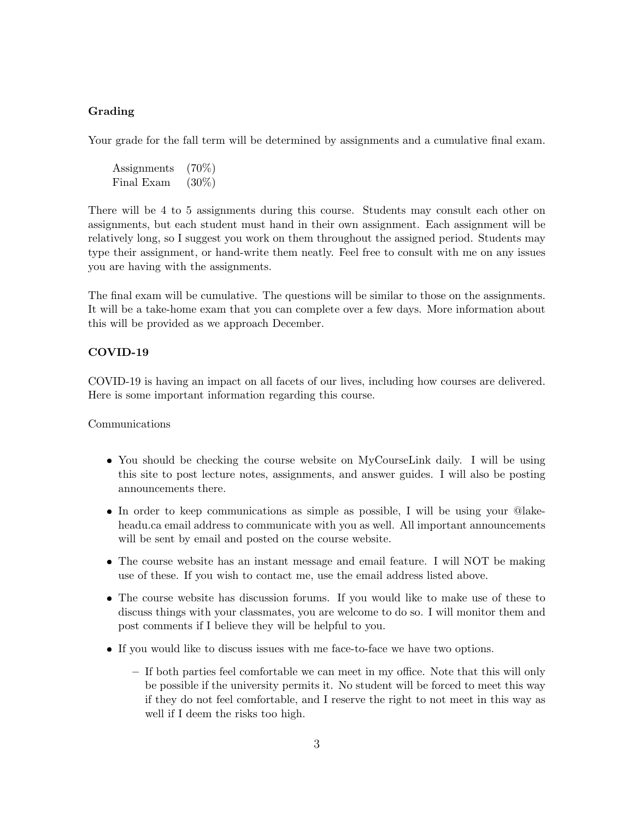## Grading

Your grade for the fall term will be determined by assignments and a cumulative final exam.

Assignments (70%) Final Exam (30%)

There will be 4 to 5 assignments during this course. Students may consult each other on assignments, but each student must hand in their own assignment. Each assignment will be relatively long, so I suggest you work on them throughout the assigned period. Students may type their assignment, or hand-write them neatly. Feel free to consult with me on any issues you are having with the assignments.

The final exam will be cumulative. The questions will be similar to those on the assignments. It will be a take-home exam that you can complete over a few days. More information about this will be provided as we approach December.

## COVID-19

COVID-19 is having an impact on all facets of our lives, including how courses are delivered. Here is some important information regarding this course.

Communications

- You should be checking the course website on MyCourseLink daily. I will be using this site to post lecture notes, assignments, and answer guides. I will also be posting announcements there.
- In order to keep communications as simple as possible, I will be using your @lakeheadu.ca email address to communicate with you as well. All important announcements will be sent by email and posted on the course website.
- The course website has an instant message and email feature. I will NOT be making use of these. If you wish to contact me, use the email address listed above.
- The course website has discussion forums. If you would like to make use of these to discuss things with your classmates, you are welcome to do so. I will monitor them and post comments if I believe they will be helpful to you.
- If you would like to discuss issues with me face-to-face we have two options.
	- If both parties feel comfortable we can meet in my office. Note that this will only be possible if the university permits it. No student will be forced to meet this way if they do not feel comfortable, and I reserve the right to not meet in this way as well if I deem the risks too high.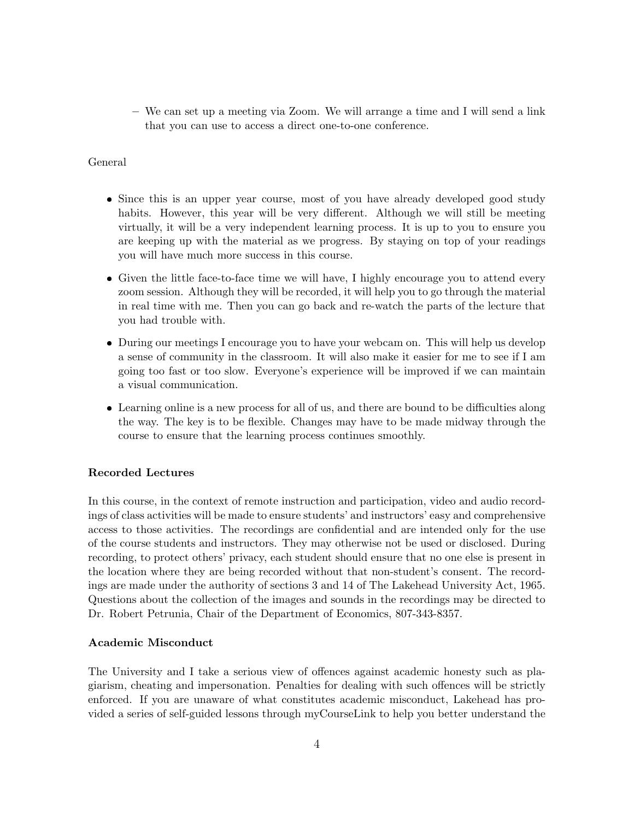– We can set up a meeting via Zoom. We will arrange a time and I will send a link that you can use to access a direct one-to-one conference.

## General

- Since this is an upper year course, most of you have already developed good study habits. However, this year will be very different. Although we will still be meeting virtually, it will be a very independent learning process. It is up to you to ensure you are keeping up with the material as we progress. By staying on top of your readings you will have much more success in this course.
- Given the little face-to-face time we will have, I highly encourage you to attend every zoom session. Although they will be recorded, it will help you to go through the material in real time with me. Then you can go back and re-watch the parts of the lecture that you had trouble with.
- During our meetings I encourage you to have your webcam on. This will help us develop a sense of community in the classroom. It will also make it easier for me to see if I am going too fast or too slow. Everyone's experience will be improved if we can maintain a visual communication.
- Learning online is a new process for all of us, and there are bound to be difficulties along the way. The key is to be flexible. Changes may have to be made midway through the course to ensure that the learning process continues smoothly.

## Recorded Lectures

In this course, in the context of remote instruction and participation, video and audio recordings of class activities will be made to ensure students' and instructors' easy and comprehensive access to those activities. The recordings are confidential and are intended only for the use of the course students and instructors. They may otherwise not be used or disclosed. During recording, to protect others' privacy, each student should ensure that no one else is present in the location where they are being recorded without that non-student's consent. The recordings are made under the authority of sections 3 and 14 of The Lakehead University Act, 1965. Questions about the collection of the images and sounds in the recordings may be directed to Dr. Robert Petrunia, Chair of the Department of Economics, 807-343-8357.

## Academic Misconduct

The University and I take a serious view of offences against academic honesty such as plagiarism, cheating and impersonation. Penalties for dealing with such offences will be strictly enforced. If you are unaware of what constitutes academic misconduct, Lakehead has provided a series of self-guided lessons through myCourseLink to help you better understand the